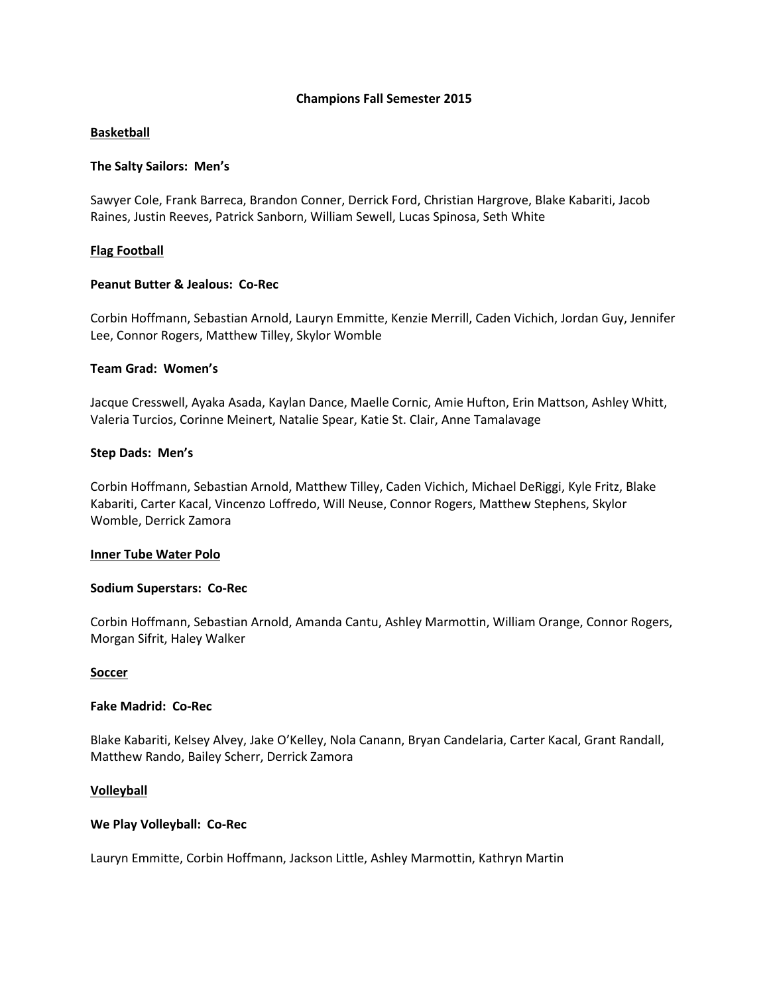#### **Champions Fall Semester 2015**

# **Basketball**

# **The Salty Sailors: Men's**

Sawyer Cole, Frank Barreca, Brandon Conner, Derrick Ford, Christian Hargrove, Blake Kabariti, Jacob Raines, Justin Reeves, Patrick Sanborn, William Sewell, Lucas Spinosa, Seth White

# **Flag Football**

# **Peanut Butter & Jealous: Co-Rec**

Corbin Hoffmann, Sebastian Arnold, Lauryn Emmitte, Kenzie Merrill, Caden Vichich, Jordan Guy, Jennifer Lee, Connor Rogers, Matthew Tilley, Skylor Womble

# **Team Grad: Women's**

Jacque Cresswell, Ayaka Asada, Kaylan Dance, Maelle Cornic, Amie Hufton, Erin Mattson, Ashley Whitt, Valeria Turcios, Corinne Meinert, Natalie Spear, Katie St. Clair, Anne Tamalavage

# **Step Dads: Men's**

Corbin Hoffmann, Sebastian Arnold, Matthew Tilley, Caden Vichich, Michael DeRiggi, Kyle Fritz, Blake Kabariti, Carter Kacal, Vincenzo Loffredo, Will Neuse, Connor Rogers, Matthew Stephens, Skylor Womble, Derrick Zamora

#### **Inner Tube Water Polo**

#### **Sodium Superstars: Co-Rec**

Corbin Hoffmann, Sebastian Arnold, Amanda Cantu, Ashley Marmottin, William Orange, Connor Rogers, Morgan Sifrit, Haley Walker

#### **Soccer**

#### **Fake Madrid: Co-Rec**

Blake Kabariti, Kelsey Alvey, Jake O'Kelley, Nola Canann, Bryan Candelaria, Carter Kacal, Grant Randall, Matthew Rando, Bailey Scherr, Derrick Zamora

# **Volleyball**

# **We Play Volleyball: Co-Rec**

Lauryn Emmitte, Corbin Hoffmann, Jackson Little, Ashley Marmottin, Kathryn Martin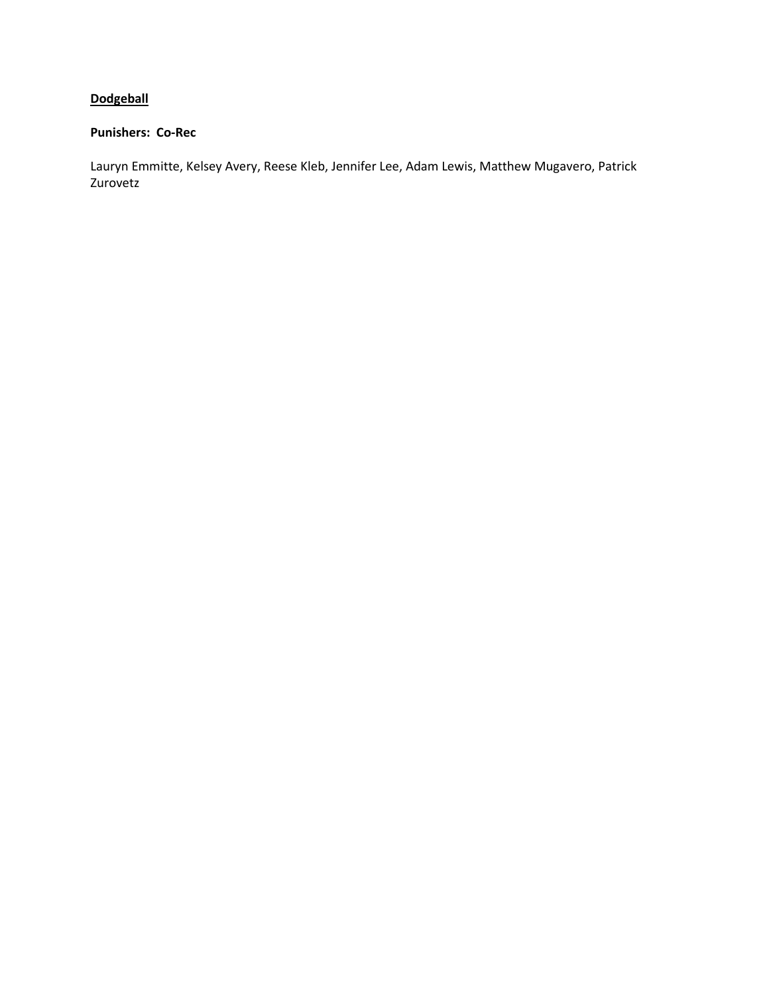# **Dodgeball**

# **Punishers: Co-Rec**

Lauryn Emmitte, Kelsey Avery, Reese Kleb, Jennifer Lee, Adam Lewis, Matthew Mugavero, Patrick Zurovetz